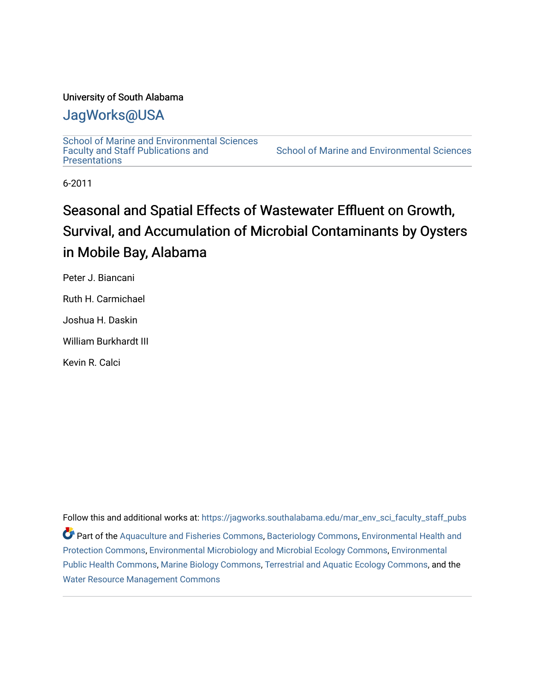### University of South Alabama

[JagWorks@USA](https://jagworks.southalabama.edu/) 

[School of Marine and Environmental Sciences](https://jagworks.southalabama.edu/mar_env_sci_faculty_staff_pubs)  [Faculty and Staff Publications and](https://jagworks.southalabama.edu/mar_env_sci_faculty_staff_pubs)  **Presentations** 

[School of Marine and Environmental Sciences](https://jagworks.southalabama.edu/mar_env_sci) 

6-2011

# Seasonal and Spatial Effects of Wastewater Effluent on Growth, Survival, and Accumulation of Microbial Contaminants by Oysters in Mobile Bay, Alabama

Peter J. Biancani Ruth H. Carmichael Joshua H. Daskin William Burkhardt III Kevin R. Calci

Follow this and additional works at: [https://jagworks.southalabama.edu/mar\\_env\\_sci\\_faculty\\_staff\\_pubs](https://jagworks.southalabama.edu/mar_env_sci_faculty_staff_pubs?utm_source=jagworks.southalabama.edu%2Fmar_env_sci_faculty_staff_pubs%2F18&utm_medium=PDF&utm_campaign=PDFCoverPages) Part of the [Aquaculture and Fisheries Commons](https://network.bepress.com/hgg/discipline/78?utm_source=jagworks.southalabama.edu%2Fmar_env_sci_faculty_staff_pubs%2F18&utm_medium=PDF&utm_campaign=PDFCoverPages), [Bacteriology Commons,](https://network.bepress.com/hgg/discipline/49?utm_source=jagworks.southalabama.edu%2Fmar_env_sci_faculty_staff_pubs%2F18&utm_medium=PDF&utm_campaign=PDFCoverPages) [Environmental Health and](https://network.bepress.com/hgg/discipline/172?utm_source=jagworks.southalabama.edu%2Fmar_env_sci_faculty_staff_pubs%2F18&utm_medium=PDF&utm_campaign=PDFCoverPages) [Protection Commons,](https://network.bepress.com/hgg/discipline/172?utm_source=jagworks.southalabama.edu%2Fmar_env_sci_faculty_staff_pubs%2F18&utm_medium=PDF&utm_campaign=PDFCoverPages) [Environmental Microbiology and Microbial Ecology Commons,](https://network.bepress.com/hgg/discipline/50?utm_source=jagworks.southalabama.edu%2Fmar_env_sci_faculty_staff_pubs%2F18&utm_medium=PDF&utm_campaign=PDFCoverPages) [Environmental](https://network.bepress.com/hgg/discipline/739?utm_source=jagworks.southalabama.edu%2Fmar_env_sci_faculty_staff_pubs%2F18&utm_medium=PDF&utm_campaign=PDFCoverPages)  [Public Health Commons,](https://network.bepress.com/hgg/discipline/739?utm_source=jagworks.southalabama.edu%2Fmar_env_sci_faculty_staff_pubs%2F18&utm_medium=PDF&utm_campaign=PDFCoverPages) [Marine Biology Commons,](https://network.bepress.com/hgg/discipline/1126?utm_source=jagworks.southalabama.edu%2Fmar_env_sci_faculty_staff_pubs%2F18&utm_medium=PDF&utm_campaign=PDFCoverPages) [Terrestrial and Aquatic Ecology Commons,](https://network.bepress.com/hgg/discipline/20?utm_source=jagworks.southalabama.edu%2Fmar_env_sci_faculty_staff_pubs%2F18&utm_medium=PDF&utm_campaign=PDFCoverPages) and the [Water Resource Management Commons](https://network.bepress.com/hgg/discipline/1057?utm_source=jagworks.southalabama.edu%2Fmar_env_sci_faculty_staff_pubs%2F18&utm_medium=PDF&utm_campaign=PDFCoverPages)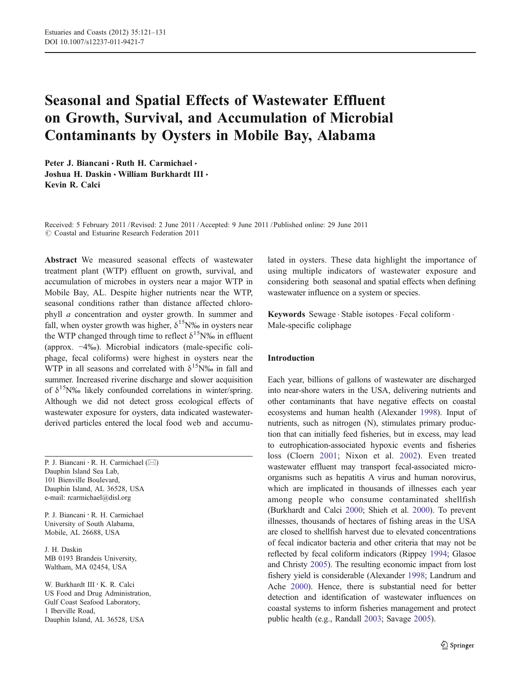## Seasonal and Spatial Effects of Wastewater Effluent on Growth, Survival, and Accumulation of Microbial Contaminants by Oysters in Mobile Bay, Alabama

Peter J. Biancani · Ruth H. Carmichael · Joshua H. Daskin & William Burkhardt III & Kevin R. Calci

Received: 5 February 2011 /Revised: 2 June 2011 /Accepted: 9 June 2011 / Published online: 29 June 2011  $\circ$  Coastal and Estuarine Research Federation 2011

Abstract We measured seasonal effects of wastewater treatment plant (WTP) effluent on growth, survival, and accumulation of microbes in oysters near a major WTP in Mobile Bay, AL. Despite higher nutrients near the WTP, seasonal conditions rather than distance affected chlorophyll a concentration and oyster growth. In summer and fall, when oyster growth was higher,  $\delta^{15}N\%$  in oysters near the WTP changed through time to reflect  $\delta^{15}N\%$  in effluent (approx. −4‰). Microbial indicators (male-specific coliphage, fecal coliforms) were highest in oysters near the WTP in all seasons and correlated with  $\delta^{15}N\%$  in fall and summer. Increased riverine discharge and slower acquisition of  $\delta^{15}N\%$  likely confounded correlations in winter/spring. Although we did not detect gross ecological effects of wastewater exposure for oysters, data indicated wastewaterderived particles entered the local food web and accumu-

P. J. Biancani · R. H. Carmichael  $(\boxtimes)$ Dauphin Island Sea Lab, 101 Bienville Boulevard, Dauphin Island, AL 36528, USA e-mail: rcarmichael@disl.org

P. J. Biancani : R. H. Carmichael University of South Alabama, Mobile, AL 26688, USA

J. H. Daskin MB 0193 Brandeis University, Waltham, MA 02454, USA

W. Burkhardt III · K. R. Calci US Food and Drug Administration, Gulf Coast Seafood Laboratory, 1 Iberville Road, Dauphin Island, AL 36528, USA

lated in oysters. These data highlight the importance of using multiple indicators of wastewater exposure and considering both seasonal and spatial effects when defining wastewater influence on a system or species.

Keywords Sewage . Stable isotopes . Fecal coliform . Male-specific coliphage

#### Introduction

Each year, billions of gallons of wastewater are discharged into near-shore waters in the USA, delivering nutrients and other contaminants that have negative effects on coastal ecosystems and human health (Alexander [1998\)](#page-10-0). Input of nutrients, such as nitrogen (N), stimulates primary production that can initially feed fisheries, but in excess, may lead to eutrophication-associated hypoxic events and fisheries loss (Cloern [2001;](#page-11-0) Nixon et al. [2002](#page-11-0)). Even treated wastewater effluent may transport fecal-associated microorganisms such as hepatitis A virus and human norovirus, which are implicated in thousands of illnesses each year among people who consume contaminated shellfish (Burkhardt and Calci [2000;](#page-11-0) Shieh et al. [2000](#page-11-0)). To prevent illnesses, thousands of hectares of fishing areas in the USA are closed to shellfish harvest due to elevated concentrations of fecal indicator bacteria and other criteria that may not be reflected by fecal coliform indicators (Rippey [1994](#page-11-0); Glasoe and Christy [2005\)](#page-11-0). The resulting economic impact from lost fishery yield is considerable (Alexander [1998;](#page-10-0) Landrum and Ache [2000](#page-11-0)). Hence, there is substantial need for better detection and identification of wastewater influences on coastal systems to inform fisheries management and protect public health (e.g., Randall [2003](#page-11-0); Savage [2005\)](#page-11-0).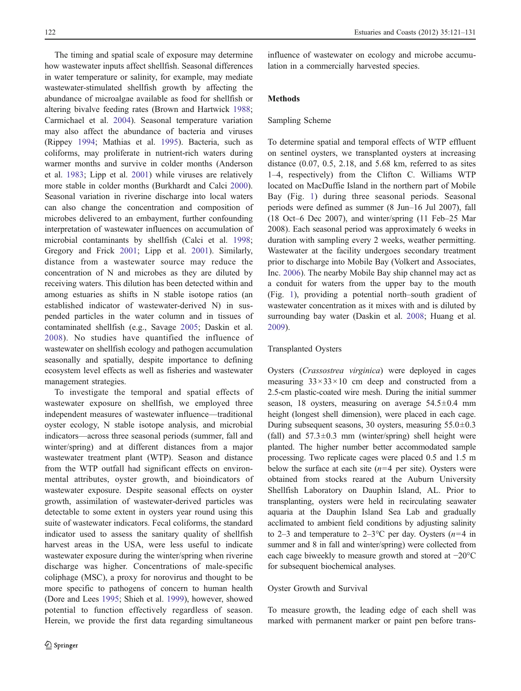The timing and spatial scale of exposure may determine how wastewater inputs affect shellfish. Seasonal differences in water temperature or salinity, for example, may mediate wastewater-stimulated shellfish growth by affecting the abundance of microalgae available as food for shellfish or altering bivalve feeding rates (Brown and Hartwick [1988](#page-11-0); Carmichael et al. [2004\)](#page-11-0). Seasonal temperature variation may also affect the abundance of bacteria and viruses (Rippey [1994;](#page-11-0) Mathias et al. [1995\)](#page-11-0). Bacteria, such as coliforms, may proliferate in nutrient-rich waters during warmer months and survive in colder months (Anderson et al. [1983;](#page-10-0) Lipp et al. [2001](#page-11-0)) while viruses are relatively more stable in colder months (Burkhardt and Calci [2000](#page-11-0)). Seasonal variation in riverine discharge into local waters can also change the concentration and composition of microbes delivered to an embayment, further confounding interpretation of wastewater influences on accumulation of microbial contaminants by shellfish (Calci et al. [1998](#page-11-0); Gregory and Frick [2001](#page-11-0); Lipp et al. [2001\)](#page-11-0). Similarly, distance from a wastewater source may reduce the concentration of N and microbes as they are diluted by receiving waters. This dilution has been detected within and among estuaries as shifts in N stable isotope ratios (an established indicator of wastewater-derived N) in suspended particles in the water column and in tissues of contaminated shellfish (e.g., Savage [2005;](#page-11-0) Daskin et al. [2008](#page-11-0)). No studies have quantified the influence of wastewater on shellfish ecology and pathogen accumulation seasonally and spatially, despite importance to defining ecosystem level effects as well as fisheries and wastewater management strategies.

To investigate the temporal and spatial effects of wastewater exposure on shellfish, we employed three independent measures of wastewater influence—traditional oyster ecology, N stable isotope analysis, and microbial indicators—across three seasonal periods (summer, fall and winter/spring) and at different distances from a major wastewater treatment plant (WTP). Season and distance from the WTP outfall had significant effects on environmental attributes, oyster growth, and bioindicators of wastewater exposure. Despite seasonal effects on oyster growth, assimilation of wastewater-derived particles was detectable to some extent in oysters year round using this suite of wastewater indicators. Fecal coliforms, the standard indicator used to assess the sanitary quality of shellfish harvest areas in the USA, were less useful to indicate wastewater exposure during the winter/spring when riverine discharge was higher. Concentrations of male-specific coliphage (MSC), a proxy for norovirus and thought to be more specific to pathogens of concern to human health (Dore and Lees [1995](#page-11-0); Shieh et al. [1999\)](#page-11-0), however, showed potential to function effectively regardless of season. Herein, we provide the first data regarding simultaneous

influence of wastewater on ecology and microbe accumulation in a commercially harvested species.

#### Methods

#### Sampling Scheme

To determine spatial and temporal effects of WTP effluent on sentinel oysters, we transplanted oysters at increasing distance (0.07, 0.5, 2.18, and 5.68 km, referred to as sites 1–4, respectively) from the Clifton C. Williams WTP located on MacDuffie Island in the northern part of Mobile Bay (Fig. [1\)](#page-3-0) during three seasonal periods. Seasonal periods were defined as summer (8 Jun–16 Jul 2007), fall (18 Oct–6 Dec 2007), and winter/spring (11 Feb–25 Mar 2008). Each seasonal period was approximately 6 weeks in duration with sampling every 2 weeks, weather permitting. Wastewater at the facility undergoes secondary treatment prior to discharge into Mobile Bay (Volkert and Associates, Inc. [2006\)](#page-11-0). The nearby Mobile Bay ship channel may act as a conduit for waters from the upper bay to the mouth (Fig. [1](#page-3-0)), providing a potential north–south gradient of wastewater concentration as it mixes with and is diluted by surrounding bay water (Daskin et al. [2008](#page-11-0); Huang et al. [2009](#page-11-0)).

#### Transplanted Oysters

Oysters (Crassostrea virginica) were deployed in cages measuring  $33 \times 33 \times 10$  cm deep and constructed from a 2.5-cm plastic-coated wire mesh. During the initial summer season, 18 oysters, measuring on average  $54.5\pm0.4$  mm height (longest shell dimension), were placed in each cage. During subsequent seasons, 30 oysters, measuring  $55.0 \pm 0.3$ (fall) and  $57.3\pm0.3$  mm (winter/spring) shell height were planted. The higher number better accommodated sample processing. Two replicate cages were placed 0.5 and 1.5 m below the surface at each site  $(n=4$  per site). Oysters were obtained from stocks reared at the Auburn University Shellfish Laboratory on Dauphin Island, AL. Prior to transplanting, oysters were held in recirculating seawater aquaria at the Dauphin Island Sea Lab and gradually acclimated to ambient field conditions by adjusting salinity to 2–3 and temperature to 2–3°C per day. Oysters  $(n=4$  in summer and 8 in fall and winter/spring) were collected from each cage biweekly to measure growth and stored at −20°C for subsequent biochemical analyses.

#### Oyster Growth and Survival

To measure growth, the leading edge of each shell was marked with permanent marker or paint pen before trans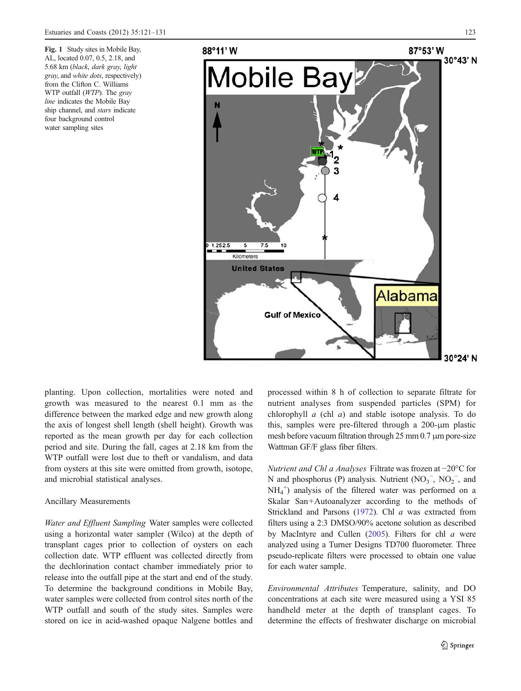<span id="page-3-0"></span>Fig. 1 Study sites in Mobile Bay, AL, located 0.07, 0.5, 2.18, and 5.68 km (black, dark gray, light gray, and white dots, respectively) from the Clifton C. Williams WTP outfall (WTP). The gray line indicates the Mobile Bay ship channel, and stars indicate four background control water sampling sites



planting. Upon collection, mortalities were noted and growth was measured to the nearest 0.1 mm as the difference between the marked edge and new growth along the axis of longest shell length (shell height). Growth was reported as the mean growth per day for each collection period and site. During the fall, cages at 2.18 km from the WTP outfall were lost due to theft or vandalism, and data from oysters at this site were omitted from growth, isotope, and microbial statistical analyses.

#### Ancillary Measurements

Water and Effluent Sampling Water samples were collected using a horizontal water sampler (Wilco) at the depth of transplant cages prior to collection of oysters on each collection date. WTP effluent was collected directly from the dechlorination contact chamber immediately prior to release into the outfall pipe at the start and end of the study. To determine the background conditions in Mobile Bay, water samples were collected from control sites north of the WTP outfall and south of the study sites. Samples were stored on ice in acid-washed opaque Nalgene bottles and processed within 8 h of collection to separate filtrate for nutrient analyses from suspended particles (SPM) for chlorophyll a (chl a) and stable isotope analysis. To do this, samples were pre-filtered through a 200-μm plastic mesh before vacuum filtration through 25 mm 0.7 μm pore-size Wattman GF/F glass fiber filters.

Nutrient and Chl a Analyses Filtrate was frozen at −20°C for N and phosphorus (P) analysis. Nutrient  $(NO_3^-$ ,  $NO_2^-$ , and NH4 + ) analysis of the filtered water was performed on a Skalar San+Autoanalyzer according to the methods of Strickland and Parsons [\(1972\)](#page-11-0). Chl a was extracted from filters using a 2:3 DMSO/90% acetone solution as described by MacIntyre and Cullen  $(2005)$  $(2005)$  $(2005)$ . Filters for chl *a* were analyzed using a Turner Designs TD700 fluorometer. Three pseudo-replicate filters were processed to obtain one value for each water sample.

Environmental Attributes Temperature, salinity, and DO concentrations at each site were measured using a YSI 85 handheld meter at the depth of transplant cages. To determine the effects of freshwater discharge on microbial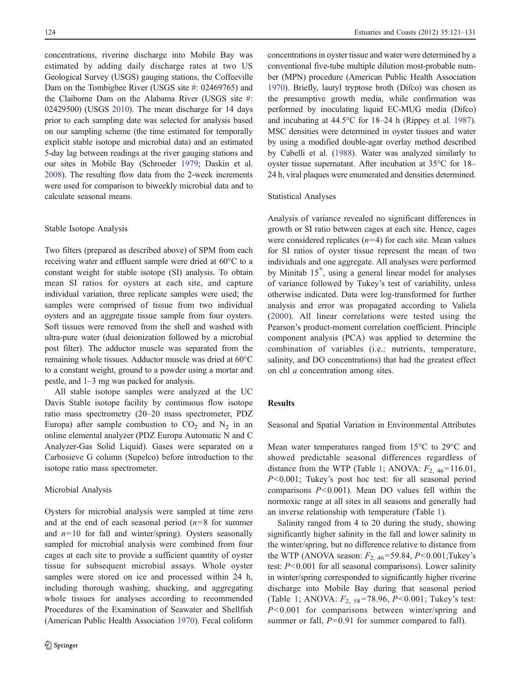concentrations, riverine discharge into Mobile Bay was estimated by adding daily discharge rates at two US Geological Survey (USGS) gauging stations, the Coffeeville Dam on the Tombigbee River (USGS site #: 02469765) and the Claiborne Dam on the Alabama River (USGS site #: 02429500) (USGS [2010\)](#page-11-0). The mean discharge for 14 days prior to each sampling date was selected for analysis based on our sampling scheme (the time estimated for temporally explicit stable isotope and microbial data) and an estimated 5-day lag between readings at the river gauging stations and our sites in Mobile Bay (Schroeder [1979;](#page-11-0) Daskin et al. [2008\)](#page-11-0). The resulting flow data from the 2-week increments were used for comparison to biweekly microbial data and to calculate seasonal means.

#### Stable Isotope Analysis

Two filters (prepared as described above) of SPM from each receiving water and effluent sample were dried at 60°C to a constant weight for stable isotope (SI) analysis. To obtain mean SI ratios for oysters at each site, and capture individual variation, three replicate samples were used; the samples were comprised of tissue from two individual oysters and an aggregate tissue sample from four oysters. Soft tissues were removed from the shell and washed with ultra-pure water (dual deionization followed by a microbial post filter). The adductor muscle was separated from the remaining whole tissues. Adductor muscle was dried at 60°C to a constant weight, ground to a powder using a mortar and pestle, and 1–3 mg was packed for analysis.

All stable isotope samples were analyzed at the UC Davis Stable isotope facility by continuous flow isotope ratio mass spectrometry (20–20 mass spectrometer, PDZ Europa) after sample combustion to  $CO<sub>2</sub>$  and  $N<sub>2</sub>$  in an online elemental analyzer (PDZ Europa Automatic N and C Analyzer-Gas Solid Liquid). Gases were separated on a Carbosieve G column (Supelco) before introduction to the isotope ratio mass spectrometer.

#### Microbial Analysis

Oysters for microbial analysis were sampled at time zero and at the end of each seasonal period  $(n=8$  for summer and  $n=10$  for fall and winter/spring). Oysters seasonally sampled for microbial analysis were combined from four cages at each site to provide a sufficient quantity of oyster tissue for subsequent microbial assays. Whole oyster samples were stored on ice and processed within 24 h, including thorough washing, shucking, and aggregating whole tissues for analyses according to recommended Procedures of the Examination of Seawater and Shellfish (American Public Health Association [1970\)](#page-10-0). Fecal coliform concentrations in oyster tissue and water were determined by a conventional five-tube multiple dilution most-probable number (MPN) procedure (American Public Health Association [1970\)](#page-10-0). Briefly, lauryl tryptose broth (Difco) was chosen as the presumptive growth media, while confirmation was performed by inoculating liquid EC-MUG media (Difco) and incubating at 44.5°C for 18–24 h (Rippey et al. [1987\)](#page-11-0). MSC densities were determined in oyster tissues and water by using a modified double-agar overlay method described by Cabelli et al. ([1988](#page-11-0)). Water was analyzed similarly to oyster tissue supernatant. After incubation at 35°C for 18– 24 h, viral plaques were enumerated and densities determined.

#### Statistical Analyses

Analysis of variance revealed no significant differences in growth or SI ratio between cages at each site. Hence, cages were considered replicates  $(n=4)$  for each site. Mean values for SI ratios of oyster tissue represent the mean of two individuals and one aggregate. All analyses were performed by Minitab 15<sup>®</sup>, using a general linear model for analyses of variance followed by Tukey's test of variability, unless otherwise indicated. Data were log-transformed for further analysis and error was propagated according to Valiela ([2000](#page-11-0)). All linear correlations were tested using the Pearson's product-moment correlation coefficient. Principle component analysis (PCA) was applied to determine the combination of variables (i.e.; nutrients, temperature, salinity, and DO concentrations) that had the greatest effect on chl a concentration among sites.

#### Results

Seasonal and Spatial Variation in Environmental Attributes

Mean water temperatures ranged from 15°C to 29°C and showed predictable seasonal differences regardless of distance from the WTP (Table [1;](#page-5-0) ANOVA:  $F_{2,46}$ =116.01, P<0.001; Tukey's post hoc test: for all seasonal period comparisons  $P<0.001$ ). Mean DO values fell within the normoxic range at all sites in all seasons and generally had an inverse relationship with temperature (Table [1\)](#page-5-0).

Salinity ranged from 4 to 20 during the study, showing significantly higher salinity in the fall and lower salinity in the winter/spring, but no difference relative to distance from the WTP (ANOVA season:  $F_{2, 46} = 59.84, P < 0.001$ ;Tukey's test: P<0.001 for all seasonal comparisons). Lower salinity in winter/spring corresponded to significantly higher riverine discharge into Mobile Bay during that seasonal period (Table [1;](#page-5-0) ANOVA:  $F_{2, 58}$ =78.96, P<0.001; Tukey's test: P<0.001 for comparisons between winter/spring and summer or fall,  $P=0.91$  for summer compared to fall).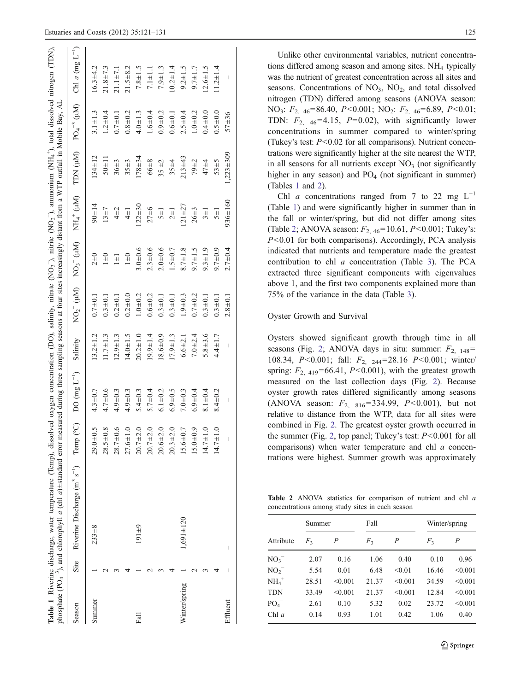<span id="page-5-0"></span>

|               | <b>Table 1</b> Riverine discharge, water temperature (Temp), dissolved oxygen concentration (DO), salinity, nitrate (NO <sub>3</sub> , nitrite (NO <sub>2</sub> ), ammonium (NH <sub>4</sub> <sup>+</sup> ), total dissolved nitrogen (TDN),<br>phosphate $(PO_4^{-2})$ , and chlorophyll a (chl a) $\pm$ standard error measured during three sampling seasons at four sites increasingly distant from a WTP outfall in Mobile Bay, AL |                |                                |                                |               |               |               |                 |                                                                                                                                                       |                      |
|---------------|-----------------------------------------------------------------------------------------------------------------------------------------------------------------------------------------------------------------------------------------------------------------------------------------------------------------------------------------------------------------------------------------------------------------------------------------|----------------|--------------------------------|--------------------------------|---------------|---------------|---------------|-----------------|-------------------------------------------------------------------------------------------------------------------------------------------------------|----------------------|
| Season        | Site Riverine Discharge (m <sup>3</sup> s <sup>-1</sup> ) Temp (°C) DO (mg $L^{-1}$ )                                                                                                                                                                                                                                                                                                                                                   |                |                                | Salinity                       |               |               |               |                 | NO <sub>2</sub> ( $\mu$ M) NO <sub>3</sub> ( $\mu$ M) NH <sub>4</sub> <sup>+</sup> ( $\mu$ M) TDN ( $\mu$ M) PO <sub>4</sub> <sup>-3</sup> ( $\mu$ M) | Chl a (mg $L^{-1}$ ) |
| Summer        | $233 + 8$                                                                                                                                                                                                                                                                                                                                                                                                                               | $29.0 \pm 0.5$ | $4.3 \pm 0.7$                  | $13.2 \pm 1.2$                 | $0.7 + 0.1$   | $2 + 0$       | $90 \pm 14$   | $134 \pm 12$    | $3.1 \pm 1.3$                                                                                                                                         | $16.3 + 4.2$         |
|               |                                                                                                                                                                                                                                                                                                                                                                                                                                         | $28.5 + 0.8$   | $4.7 + 0.6$                    | $11.7 \pm 1.3$                 | $0.3 + 0.1$   | $1\pm0$       | $13 + 7$      | $50 + 11$       | $1.2 \pm 0.4$                                                                                                                                         | $21.8 + 7.3$         |
|               |                                                                                                                                                                                                                                                                                                                                                                                                                                         | $28.7 \pm 0.6$ | $4.9 + 0.3$                    | $12.9 \pm 1.3$                 | $0.2 + 0.1$   | $\frac{1}{1}$ | $4\pm2$       | $36 + 3$        | $0.7 + 0.1$                                                                                                                                           | $21.1 + 7.1$         |
|               |                                                                                                                                                                                                                                                                                                                                                                                                                                         | $27.6 \pm 1.0$ | $4.9 \pm 0.3$                  | $14.0 \pm 1.5$                 | $0.2 + 0.0$   | $1 \pm 0$     | $4\pm1$       | $35 + 3$        | $0.8 + 0.2$                                                                                                                                           | $21.5 + 8.2$         |
| Fall          | $191 \pm 9$                                                                                                                                                                                                                                                                                                                                                                                                                             | $20.7 + 2.0$   | $5.4 \pm 0.3$                  | $20.2 + 1.0$                   | $1.0 + 0.2$   | $3.0 + 0.6$   | $122 \pm 30$  | $178 + 34$      | $4.0 \pm 1.3$                                                                                                                                         | $7.8 \pm 1.5$        |
|               |                                                                                                                                                                                                                                                                                                                                                                                                                                         | $20.7 + 2.0$   | $5.7 \pm 0.4$                  | $19.9 \pm 1.4$                 | $0.6 + 0.2$   | $2.3 + 0.6$   | $27 + 6$      | $66 + 8$        | $1.6 + 0.4$                                                                                                                                           | $7.1 \pm 1.1$        |
|               |                                                                                                                                                                                                                                                                                                                                                                                                                                         | $20.6 + 2.0$   | $6.1 \pm 0.2$                  | $18.6 \pm 0.9$                 | $3.3 \pm 0.1$ | $2.0 + 0.6$   | $5 \pm 1$     | 35 $\pm$ 2      | $0.9 + 0.2$                                                                                                                                           | $7.9 \pm 1.3$        |
|               |                                                                                                                                                                                                                                                                                                                                                                                                                                         | $20.3 + 2.0$   | $6.9 + 0.5$                    | $17.9 \pm 1.3$                 | $0.3 + 0.1$   | $1.5 + 0.7$   | $2 + 1$       | $35 + 4$        | $0.6 + 0.1$                                                                                                                                           | $10.2 \pm 1.4$       |
| Winter/spring | $1.691 \pm 120$                                                                                                                                                                                                                                                                                                                                                                                                                         | $15.6 \pm 0.7$ | $7.0 + 0.3$                    | $6.6 + 2.1$                    | $1.9 + 0.3$   | $8.7 \pm 1.8$ | $121 + 27$    | $213 + 43$      | $2.5 \pm 0.4$                                                                                                                                         | $9.2 \pm 1.5$        |
|               |                                                                                                                                                                                                                                                                                                                                                                                                                                         | $15.0 \pm 0.9$ | $6.9 \pm 0.4$                  | $7.0 + 2.4$                    | $0.7 + 0.2$   | $9.7 \pm 1.5$ | $26 + 3$      | $79 + 2$        | $1.0 + 0.2$                                                                                                                                           | $9.7 \pm 1.7$        |
|               |                                                                                                                                                                                                                                                                                                                                                                                                                                         | $14.7 \pm 1.0$ | $8.1 \pm 0.4$                  | $5.8 + 3.6$                    | $0.3 + 0.1$   | $9.3 \pm 1.9$ | $3\pm1$       | $47 + 4$        | $0.4 + 0.0$                                                                                                                                           | $12.6 \pm 1.5$       |
|               |                                                                                                                                                                                                                                                                                                                                                                                                                                         | $14.7 \pm 1.0$ | $8.4 \pm 0.2$                  | $4.4 + 1.7$                    | $0.3 + 0.1$   | $9.7 \pm 0.9$ | $5\pm1$       | $53 + 5$        | $0.5 + 0.0$                                                                                                                                           | $1.2 \pm 1.4$        |
| Effluent      | I                                                                                                                                                                                                                                                                                                                                                                                                                                       | $\mid$         | $\begin{array}{c} \end{array}$ | $\begin{array}{c} \end{array}$ | $2.8 \pm 0.1$ | $2.7 \pm 0.4$ | $936 \pm 160$ | $1,223 \pm 309$ | $57 + 36$                                                                                                                                             |                      |

Unlike other environmental variables, nutrient concentrations differed among season and among sites. NH<sub>4</sub> typically was the nutrient of greatest concentration across all sites and seasons. Concentrations of  $NO<sub>3</sub>$ ,  $NO<sub>2</sub>$ , and total dissolved nitrogen (TDN) differed among seasons (ANOVA season: NO<sub>3</sub>:  $F_{2,46}$ =86.40, P<0.001; NO<sub>2</sub>:  $F_{2,46}$ =6.89, P<0.01; TDN:  $F_2$   $_{46}$ =4.15, P=0.02), with significantly lower concentrations in summer compared to winter/spring (Tukey's test:  $P < 0.02$  for all comparisons). Nutrient concentrations were significantly higher at the site nearest the WTP, in all seasons for all nutrients except  $NO<sub>3</sub>$  (not significantly higher in any season) and  $PO<sub>4</sub>$  (not significant in summer) (Tables 1 and 2).

Chl *a* concentrations ranged from 7 to 22 mg  $L^{-1}$ (Table 1) and were significantly higher in summer than in the fall or winter/spring, but did not differ among sites (Table 2; ANOVA season:  $F_{2,46}$ =10.61, P<0.001; Tukey's:  $P<0.01$  for both comparisons). Accordingly, PCA analysis indicated that nutrients and temperature made the greatest contribution to chl a concentration (Table [3\)](#page-6-0). The PCA extracted three significant components with eigenvalues above 1, and the first two components explained more than 75% of the variance in the data (Table [3\)](#page-6-0).

#### Oyster Growth and Survival

Oysters showed significant growth through time in all seasons (Fig. [2](#page-6-0); ANOVA days in situ: summer:  $F_{2,148}$ = 108.34, P<0.001; fall: F<sub>2, 244</sub>=28.16 P<0.001; winter/ spring:  $F_{2, 419} = 66.41$ ,  $P < 0.001$ ), with the greatest growth measured on the last collection days (Fig. [2\)](#page-6-0). Because oyster growth rates differed significantly among seasons (ANOVA season:  $F_{2, 816} = 334.99$ ,  $P < 0.001$ ), but not relative to distance from the WTP, data for all sites were combined in Fig. [2.](#page-6-0) The greatest oyster growth occurred in the summer (Fig. [2,](#page-6-0) top panel; Tukey's test:  $P < 0.001$  for all comparisons) when water temperature and chl a concentrations were highest. Summer growth was approximately

Table 2 ANOVA statistics for comparison of nutrient and chl a concentrations among study sites in each season

|                   | Summer  |         | Fall    |         | Winter/spring |         |
|-------------------|---------|---------|---------|---------|---------------|---------|
| Attribute         | $F_{3}$ | Р       | $F_{3}$ | Р       | $F_{3}$       | Р       |
| $NO_3^-$          | 2.07    | 0.16    | 1.06    | 0.40    | 0.10          | 0.96    |
| $NO_2^-$          | 5.54    | 0.01    | 6.48    | < 0.01  | 16.46         | < 0.001 |
| $\mathrm{NH_4}^+$ | 28.51   | < 0.001 | 21.37   | < 0.001 | 34.59         | < 0.001 |
| <b>TDN</b>        | 33.49   | < 0.001 | 21.37   | < 0.001 | 12.84         | < 0.001 |
| $PO_4^-$          | 2.61    | 0.10    | 5.32    | 0.02    | 23.72         | < 0.001 |
| Chl a             | 0.14    | 0.93    | 1.01    | 0.42    | 1.06          | 0.40    |
|                   |         |         |         |         |               |         |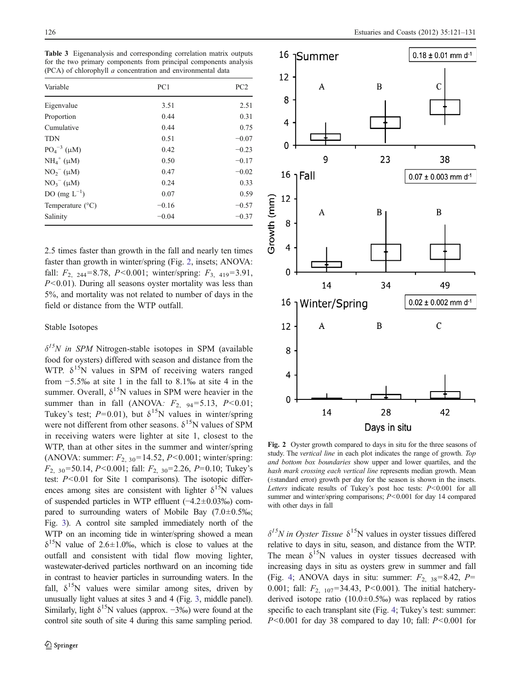<span id="page-6-0"></span>Table 3 Eigenanalysis and corresponding correlation matrix outputs for the two primary components from principal components analysis (PCA) of chlorophyll a concentration and environmental data

| Variable                  | PC1     | PC2     |
|---------------------------|---------|---------|
| Eigenvalue                | 3.51    | 2.51    |
| Proportion                | 0.44    | 0.31    |
| Cumulative                | 0.44    | 0.75    |
| <b>TDN</b>                | 0.51    | $-0.07$ |
| $PO_4^{-3}$ ( $\mu$ M)    | 0.42    | $-0.23$ |
| $NH_4^+$ ( $\mu$ M)       | 0.50    | $-0.17$ |
| $NO2-$ ( $\mu$ M)         | 0.47    | $-0.02$ |
| $NO_3^- (\mu M)$          | 0.24    | 0.33    |
| DO $(mg L^{-1})$          | 0.07    | 0.59    |
| Temperature $(^{\circ}C)$ | $-0.16$ | $-0.57$ |
| Salinity                  | $-0.04$ | $-0.37$ |

2.5 times faster than growth in the fall and nearly ten times faster than growth in winter/spring (Fig. 2, insets; ANOVA: fall:  $F_{2, 244} = 8.78$ ,  $P < 0.001$ ; winter/spring:  $F_{3, 419} = 3.91$ ,  $P<0.01$ ). During all seasons oyster mortality was less than 5%, and mortality was not related to number of days in the field or distance from the WTP outfall.

#### Stable Isotopes

 $\delta^{15}N$  in SPM Nitrogen-stable isotopes in SPM (available food for oysters) differed with season and distance from the WTP.  $\delta^{15}$ N values in SPM of receiving waters ranged from −5.5‰ at site 1 in the fall to 8.1‰ at site 4 in the summer. Overall,  $\delta^{15}N$  values in SPM were heavier in the summer than in fall (ANOVA:  $F_2$ ,  $94 = 5.13$ ,  $P < 0.01$ ; Tukey's test;  $P=0.01$ ), but  $\delta^{15}$ N values in winter/spring were not different from other seasons.  $\delta^{15}N$  values of SPM in receiving waters were lighter at site 1, closest to the WTP, than at other sites in the summer and winter/spring (ANOVA: summer:  $F_{2, 30}$ =14.52, P<0.001; winter/spring:  $F_{2, 30}$ =50.14, P<0.001; fall:  $F_{2, 30}$ =2.26, P=0.10; Tukey's test:  $P < 0.01$  for Site 1 comparisons). The isotopic differences among sites are consistent with lighter  $\delta^{15}N$  values of suspended particles in WTP effluent (−4.2±0.03‰) compared to surrounding waters of Mobile Bay  $(7.0\pm0.5\%)$ ; Fig. [3\)](#page-7-0). A control site sampled immediately north of the WTP on an incoming tide in winter/spring showed a mean  $\delta^{15}$ N value of 2.6±1.0‰, which is close to values at the outfall and consistent with tidal flow moving lighter, wastewater-derived particles northward on an incoming tide in contrast to heavier particles in surrounding waters. In the fall,  $\delta^{15}$ N values were similar among sites, driven by unusually light values at sites 3 and 4 (Fig. [3,](#page-7-0) middle panel). Similarly, light  $\delta^{15}N$  values (approx.  $-3\%$ ) were found at the control site south of site 4 during this same sampling period.



Fig. 2 Oyster growth compared to days in situ for the three seasons of study. The vertical line in each plot indicates the range of growth. Top and bottom box boundaries show upper and lower quartiles, and the hash mark crossing each vertical line represents median growth. Mean (±standard error) growth per day for the season is shown in the insets. Letters indicate results of Tukey's post hoc tests:  $P < 0.001$  for all summer and winter/spring comparisons;  $P < 0.001$  for day 14 compared with other days in fall

 $\delta^{15}N$  in Oyster Tissue  $\delta^{15}N$  values in oyster tissues differed relative to days in situ, season, and distance from the WTP. The mean  $\delta^{15}N$  values in oyster tissues decreased with increasing days in situ as oysters grew in summer and fall (Fig. [4](#page-7-0); ANOVA days in situ: summer:  $F_{2, 38} = 8.42$ ,  $P =$ 0.001; fall:  $F_{2, 107} = 34.43$ , P<0.001). The initial hatcheryderived isotope ratio  $(10.0\pm0.5\%)$  was replaced by ratios specific to each transplant site (Fig. [4;](#page-7-0) Tukey's test: summer:  $P<0.001$  for day 38 compared to day 10; fall:  $P<0.001$  for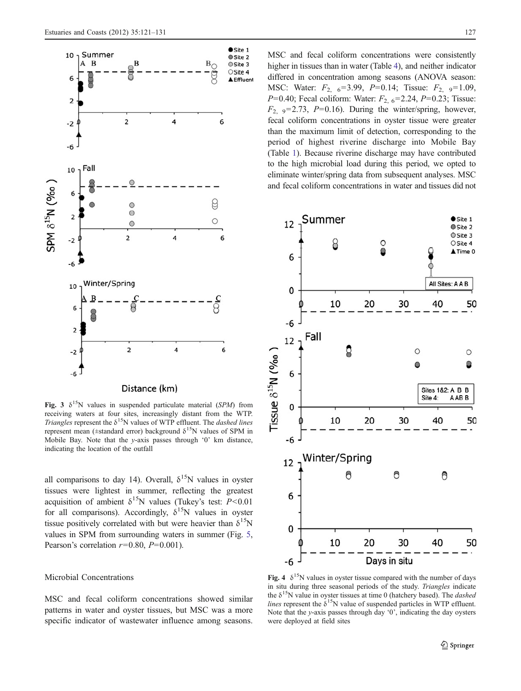<span id="page-7-0"></span>

Fig. 3  $\delta^{15}$ N values in suspended particulate material (SPM) from receiving waters at four sites, increasingly distant from the WTP. Triangles represent the  $\delta^{15}N$  values of WTP effluent. The dashed lines represent mean ( $\pm$ standard error) background  $\delta^{15}N$  values of SPM in Mobile Bay. Note that the y-axis passes through  $0'$  km distance, indicating the location of the outfall

all comparisons to day 14). Overall,  $\delta^{15}N$  values in oyster tissues were lightest in summer, reflecting the greatest acquisition of ambient  $\delta^{15}$ N values (Tukey's test:  $P < 0.01$ ) for all comparisons). Accordingly,  $\delta^{15}N$  values in oyster tissue positively correlated with but were heavier than  $\delta^{15}N$ values in SPM from surrounding waters in summer (Fig. [5,](#page-8-0) Pearson's correlation  $r=0.80$ ,  $P=0.001$ ).

#### Microbial Concentrations

MSC and fecal coliform concentrations showed similar patterns in water and oyster tissues, but MSC was a more specific indicator of wastewater influence among seasons.

MSC and fecal coliform concentrations were consistently higher in tissues than in water (Table [4](#page-8-0)), and neither indicator differed in concentration among seasons (ANOVA season: MSC: Water:  $F_{2,6} = 3.99$ ,  $P = 0.14$ ; Tissue:  $F_{2,9} = 1.09$ ,  $P=0.40$ ; Fecal coliform: Water:  $F_{2, 6} = 2.24, P=0.23$ ; Tissue:  $F_{2,9}$ =2.73, P=0.16). During the winter/spring, however, fecal coliform concentrations in oyster tissue were greater than the maximum limit of detection, corresponding to the period of highest riverine discharge into Mobile Bay (Table [1](#page-5-0)). Because riverine discharge may have contributed to the high microbial load during this period, we opted to eliminate winter/spring data from subsequent analyses. MSC and fecal coliform concentrations in water and tissues did not



Fig. 4  $\delta^{15}$ N values in oyster tissue compared with the number of days in situ during three seasonal periods of the study. Triangles indicate the  $\delta^{15}$ N value in oyster tissues at time 0 (hatchery based). The *dashed lines* represent the  $\delta^{15}N$  value of suspended particles in WTP effluent. Note that the y-axis passes through day  $0$ ', indicating the day oysters were deployed at field sites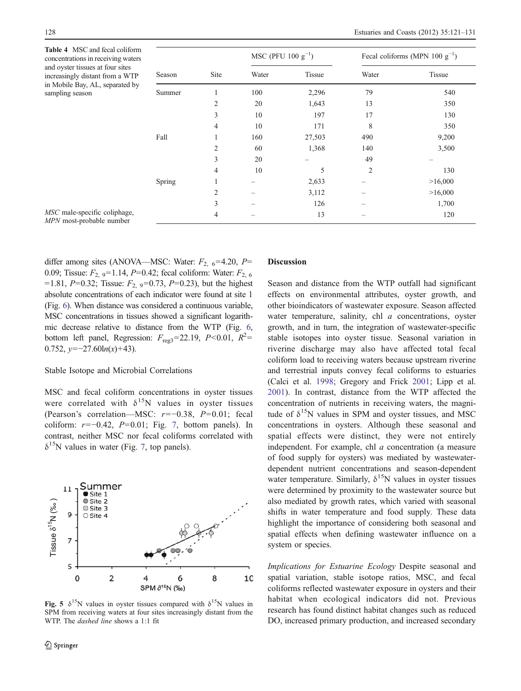<span id="page-8-0"></span>Table 4 MSC and fecal coliform concentrations in receiving water and oyster tissues at four sites increasingly distant from a WTP in Mobile Bay, AL, separated by sampling season

|        |                | $MSC$ (PFU 100 $g^{-1}$ ) |        | Fecal coliforms (MPN 100 $g^{-1}$ ) |         |  |
|--------|----------------|---------------------------|--------|-------------------------------------|---------|--|
| Season | Site           | Water                     | Tissue | Water                               | Tissue  |  |
| Summer | 1              | 100                       | 2,296  | 79                                  | 540     |  |
|        | $\overline{2}$ | 20                        | 1,643  | 13                                  | 350     |  |
|        | 3              | 10                        | 197    | 17                                  | 130     |  |
|        | $\overline{4}$ | 10                        | 171    | 8                                   | 350     |  |
| Fall   | 1              | 160                       | 27,503 | 490                                 | 9,200   |  |
|        | $\overline{2}$ | 60                        | 1,368  | 140                                 | 3,500   |  |
|        | 3              | 20                        |        | 49                                  |         |  |
|        | $\overline{4}$ | 10                        | 5      | $\overline{2}$                      | 130     |  |
| Spring | 1              |                           | 2,633  |                                     | >16,000 |  |
|        | $\overline{2}$ |                           | 3,112  |                                     | >16,000 |  |
|        | 3              |                           | 126    |                                     | 1,700   |  |
|        | 4              |                           | 13     |                                     | 120     |  |

differ among sites (ANOVA—MSC: Water:  $F_{2, 6}$ =4.20, P= 0.09; Tissue:  $F_{2,9}$ =1.14, P=0.42; fecal coliform: Water:  $F_{2,6}$ =1.81, P=0.32; Tissue:  $F_2$ ,  $9=0.73$ , P=0.23), but the highest absolute concentrations of each indicator were found at site 1 (Fig. [6\)](#page-9-0). When distance was considered a continuous variable, MSC concentrations in tissues showed a significant logarithmic decrease relative to distance from the WTP (Fig. [6,](#page-9-0) bottom left panel, Regression:  $F_{\text{reg3}} = 22.19$ ,  $P < 0.01$ ,  $R^2 =$ 

#### Stable Isotope and Microbial Correlations

0.752,  $y=-27.60ln(x)+43$ .

MSC male-specific coliphage, MPN most-probable number

MSC and fecal coliform concentrations in oyster tissues were correlated with  $\delta^{15}$ N values in oyster tissues (Pearson's correlation—MSC: r=−0.38, P=0.01; fecal coliform:  $r=-0.42$ ,  $P=0.01$ ; Fig. [7,](#page-9-0) bottom panels). In contrast, neither MSC nor fecal coliforms correlated with  $\delta^{15}$ N values in water (Fig. [7,](#page-9-0) top panels).



Fig. 5  $\delta^{15}$ N values in oyster tissues compared with  $\delta^{15}$ N values in SPM from receiving waters at four sites increasingly distant from the WTP. The *dashed line* shows a 1:1 fit

#### Discussion

Season and distance from the WTP outfall had significant effects on environmental attributes, oyster growth, and other bioindicators of wastewater exposure. Season affected water temperature, salinity, chl a concentrations, oyster growth, and in turn, the integration of wastewater-specific stable isotopes into oyster tissue. Seasonal variation in riverine discharge may also have affected total fecal coliform load to receiving waters because upstream riverine and terrestrial inputs convey fecal coliforms to estuaries (Calci et al. [1998](#page-11-0); Gregory and Frick [2001;](#page-11-0) Lipp et al. [2001](#page-11-0)). In contrast, distance from the WTP affected the concentration of nutrients in receiving waters, the magnitude of  $\delta^{15}N$  values in SPM and oyster tissues, and MSC concentrations in oysters. Although these seasonal and spatial effects were distinct, they were not entirely independent. For example, chl a concentration (a measure of food supply for oysters) was mediated by wastewaterdependent nutrient concentrations and season-dependent water temperature. Similarly,  $\delta^{15}$ N values in oyster tissues were determined by proximity to the wastewater source but also mediated by growth rates, which varied with seasonal shifts in water temperature and food supply. These data highlight the importance of considering both seasonal and spatial effects when defining wastewater influence on a system or species.

Implications for Estuarine Ecology Despite seasonal and spatial variation, stable isotope ratios, MSC, and fecal coliforms reflected wastewater exposure in oysters and their habitat when ecological indicators did not. Previous research has found distinct habitat changes such as reduced DO, increased primary production, and increased secondary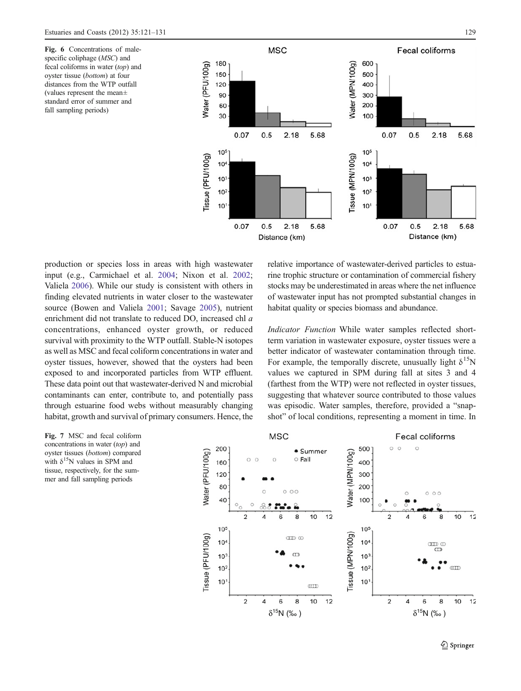Fig. 6 Concentrations of malespecific coliphage (MSC) and fecal coliforms in water (top) and oyster tissue (bottom) at four distances from the WTP outfall (values represent the mean± standard error of summer and fall sampling periods)

<span id="page-9-0"></span>

production or species loss in areas with high wastewater input (e.g., Carmichael et al. [2004;](#page-11-0) Nixon et al. [2002](#page-11-0); Valiela [2006\)](#page-11-0). While our study is consistent with others in finding elevated nutrients in water closer to the wastewater source (Bowen and Valiela [2001;](#page-10-0) Savage [2005](#page-11-0)), nutrient enrichment did not translate to reduced DO, increased chl a concentrations, enhanced oyster growth, or reduced survival with proximity to the WTP outfall. Stable-N isotopes as well as MSC and fecal coliform concentrations in water and oyster tissues, however, showed that the oysters had been exposed to and incorporated particles from WTP effluent. These data point out that wastewater-derived N and microbial contaminants can enter, contribute to, and potentially pass through estuarine food webs without measurably changing habitat, growth and survival of primary consumers. Hence, the relative importance of wastewater-derived particles to estuarine trophic structure or contamination of commercial fishery stocks may be underestimated in areas where the net influence of wastewater input has not prompted substantial changes in habitat quality or species biomass and abundance.

Indicator Function While water samples reflected shortterm variation in wastewater exposure, oyster tissues were a better indicator of wastewater contamination through time. For example, the temporally discrete, unusually light  $\delta^{15}N$ values we captured in SPM during fall at sites 3 and 4 (farthest from the WTP) were not reflected in oyster tissues, suggesting that whatever source contributed to those values was episodic. Water samples, therefore, provided a "snapshot" of local conditions, representing a moment in time. In

Fig. 7 MSC and fecal coliform concentrations in water (top) and oyster tissues (bottom) compared with  $\delta^{15}N$  values in SPM and tissue, respectively, for the summer and fall sampling periods

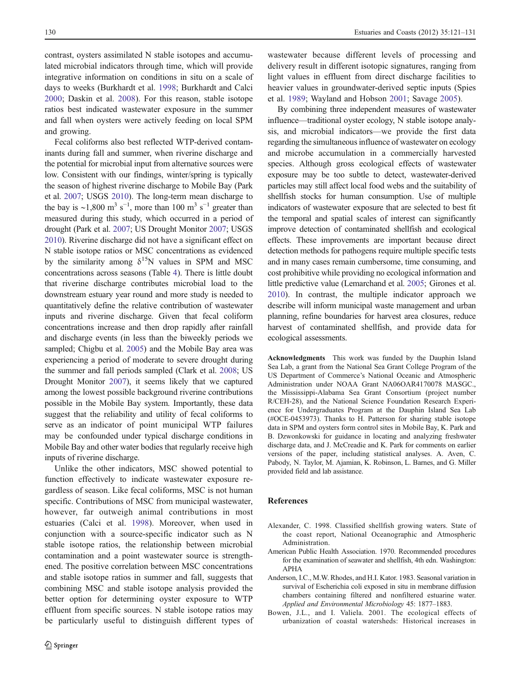<span id="page-10-0"></span>contrast, oysters assimilated N stable isotopes and accumulated microbial indicators through time, which will provide integrative information on conditions in situ on a scale of days to weeks (Burkhardt et al. [1998](#page-11-0); Burkhardt and Calci [2000;](#page-11-0) Daskin et al. [2008\)](#page-11-0). For this reason, stable isotope ratios best indicated wastewater exposure in the summer and fall when oysters were actively feeding on local SPM and growing.

Fecal coliforms also best reflected WTP-derived contaminants during fall and summer, when riverine discharge and the potential for microbial input from alternative sources were low. Consistent with our findings, winter/spring is typically the season of highest riverine discharge to Mobile Bay (Park et al. [2007;](#page-11-0) USGS [2010](#page-11-0)). The long-term mean discharge to the bay is ~1,800 m<sup>3</sup> s<sup>-1</sup>, more than 100 m<sup>3</sup> s<sup>-1</sup> greater than measured during this study, which occurred in a period of drought (Park et al. [2007;](#page-11-0) US Drought Monitor [2007;](#page-11-0) USGS [2010\)](#page-11-0). Riverine discharge did not have a significant effect on N stable isotope ratios or MSC concentrations as evidenced by the similarity among  $\delta^{15}N$  values in SPM and MSC concentrations across seasons (Table [4\)](#page-8-0). There is little doubt that riverine discharge contributes microbial load to the downstream estuary year round and more study is needed to quantitatively define the relative contribution of wastewater inputs and riverine discharge. Given that fecal coliform concentrations increase and then drop rapidly after rainfall and discharge events (in less than the biweekly periods we sampled; Chigbu et al. [2005](#page-11-0)) and the Mobile Bay area was experiencing a period of moderate to severe drought during the summer and fall periods sampled (Clark et al. [2008;](#page-11-0) US Drought Monitor [2007\)](#page-11-0), it seems likely that we captured among the lowest possible background riverine contributions possible in the Mobile Bay system. Importantly, these data suggest that the reliability and utility of fecal coliforms to serve as an indicator of point municipal WTP failures may be confounded under typical discharge conditions in Mobile Bay and other water bodies that regularly receive high inputs of riverine discharge.

Unlike the other indicators, MSC showed potential to function effectively to indicate wastewater exposure regardless of season. Like fecal coliforms, MSC is not human specific. Contributions of MSC from municipal wastewater, however, far outweigh animal contributions in most estuaries (Calci et al. [1998](#page-11-0)). Moreover, when used in conjunction with a source-specific indicator such as N stable isotope ratios, the relationship between microbial contamination and a point wastewater source is strengthened. The positive correlation between MSC concentrations and stable isotope ratios in summer and fall, suggests that combining MSC and stable isotope analysis provided the better option for determining oyster exposure to WTP effluent from specific sources. N stable isotope ratios may be particularly useful to distinguish different types of

wastewater because different levels of processing and delivery result in different isotopic signatures, ranging from light values in effluent from direct discharge facilities to heavier values in groundwater-derived septic inputs (Spies et al. [1989](#page-11-0); Wayland and Hobson [2001;](#page-11-0) Savage [2005](#page-11-0)).

By combining three independent measures of wastewater influence—traditional oyster ecology, N stable isotope analysis, and microbial indicators—we provide the first data regarding the simultaneous influence of wastewater on ecology and microbe accumulation in a commercially harvested species. Although gross ecological effects of wastewater exposure may be too subtle to detect, wastewater-derived particles may still affect local food webs and the suitability of shellfish stocks for human consumption. Use of multiple indicators of wastewater exposure that are selected to best fit the temporal and spatial scales of interest can significantly improve detection of contaminated shellfish and ecological effects. These improvements are important because direct detection methods for pathogens require multiple specific tests and in many cases remain cumbersome, time consuming, and cost prohibitive while providing no ecological information and little predictive value (Lemarchand et al. [2005](#page-11-0); Girones et al. [2010\)](#page-11-0). In contrast, the multiple indicator approach we describe will inform municipal waste management and urban planning, refine boundaries for harvest area closures, reduce harvest of contaminated shellfish, and provide data for ecological assessments.

Acknowledgments This work was funded by the Dauphin Island Sea Lab, a grant from the National Sea Grant College Program of the US Department of Commerce's National Oceanic and Atmospheric Administration under NOAA Grant NA06OAR4170078 MASGC., the Mississippi-Alabama Sea Grant Consortium (project number R/CEH-28), and the National Science Foundation Research Experience for Undergraduates Program at the Dauphin Island Sea Lab (#OCE-0453973). Thanks to H. Patterson for sharing stable isotope data in SPM and oysters form control sites in Mobile Bay, K. Park and B. Dzwonkowski for guidance in locating and analyzing freshwater discharge data, and J. McCreadie and K. Park for comments on earlier versions of the paper, including statistical analyses. A. Aven, C. Pabody, N. Taylor, M. Ajamian, K. Robinson, L. Barnes, and G. Miller provided field and lab assistance.

#### References

- Alexander, C. 1998. Classified shellfish growing waters. State of the coast report, National Oceanographic and Atmospheric Administration.
- American Public Health Association. 1970. Recommended procedures for the examination of seawater and shellfish, 4th edn. Washington: APHA
- Anderson, I.C., M.W. Rhodes, and H.I. Kator. 1983. Seasonal variation in survival of Escherichia coli exposed in situ in membrane diffusion chambers containing filtered and nonfiltered estuarine water. Applied and Environmental Microbiology 45: 1877–1883.
- Bowen, J.L., and I. Valiela. 2001. The ecological effects of urbanization of coastal watersheds: Historical increases in